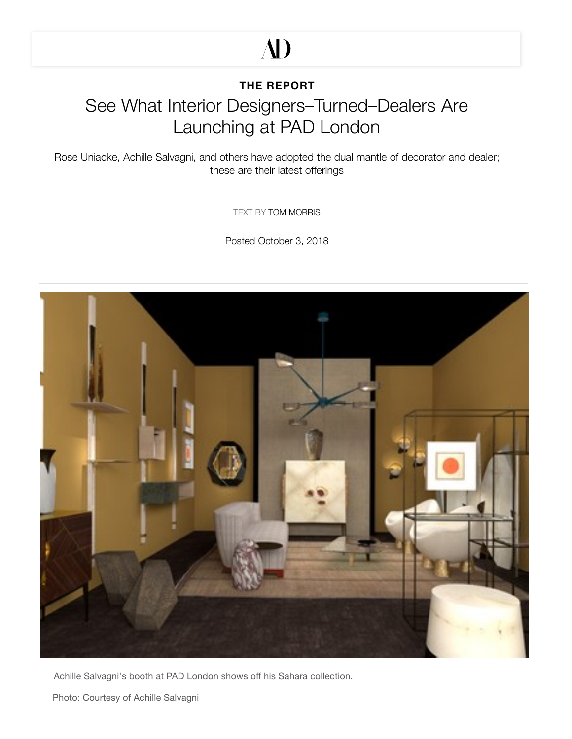# **AD**

#### **[THE REPORT](https://www.architecturaldigest.com/ad-pro)**

# See What Interior Designers–Turned–Dealers Are Launching at PAD London

Rose Uniacke, Achille Salvagni, and others have adopted the dual mantle of decorator and dealer; these are their latest offerings

TEXT BY [TOM MORRIS](https://www.architecturaldigest.com/contributor/tom-morris)

Posted October 3, 2018



[Achille Salva](https://www.pinterest.com/pin/create/button/?url=https%3A%2F%2Fwww.architecturaldigest.com%2Fstory%2Fpad-london-rose-uniacke-achille-salvagni-pinto-paris-dimore-design-dealers&media=https%3A%2F%2Fmedia.architecturaldigest.com%2Fphotos%2F5bb5324cbbbe132e220aa6b6%2Fmaster%2Fpass%2Fpad%2520londra%2520068.jpg&description=What%20Interior%20Designers%E2%80%93Turned%E2%80%93Dealers%20Are%20Launching%20at%20PAD%20London)[gni's booth at PAD](https://www.facebook.com/sharer/sharer.php?u=https%3A%2F%2Fwww.architecturaldigest.com%2Fstory%2Fpad-london-rose-uniacke-achille-salvagni-pinto-paris-dimore-design-dealers&t=What%20Interior%20Designers%E2%80%93Turned%E2%80%93Dealers%20Are%20Launching%20at%20PAD%20London) [London shows off hi](https://twitter.com/share?text=What%20Interior%20Designers%E2%80%93Turned%E2%80%93Dealers%20Are%20Launching%20at%20PAD%20London&via=ArchDigest&url=https%3A%2F%2Fwww.architecturaldigest.com%2Fstory%2Fpad-london-rose-uniacke-achille-salvagni-pinto-paris-dimore-design-dealers)s Sahara collection.

Photo: Courtesy of Achille Salvagni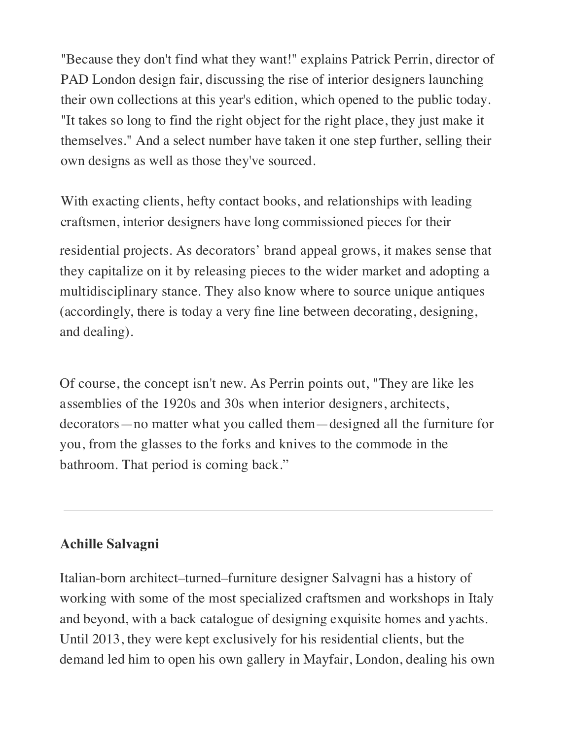"Because they don't find what they want!" explains Patrick Perrin, director of PAD London design fair, discussing the rise of interior designers launching their own collections at this year's edition, which opened to the public today. "It takes so long to find the right object for the right place, they just make it themselves." And a select number have taken it one step further, selling their own designs as well as those they've sourced.

With exacting clients, hefty contact books, and relationships with leading craftsmen, interior designers have long commissioned pieces for their

residential projects. As decorators' brand appeal grows, it makes sense that they capitalize on it by releasing pieces to the wider market and adopting a multidisciplinary stance. They also know where to source unique antiques (accordingly, there is today a very fine line between decorating, designing, and deali[ng\).](http://video.architecturaldigest.com/watch/architecture-climate-change)

Of course, the concept isn't new. As Perrin points out, "They are like les assemblies of the 1920s and 30s when interior designers, architects, decorators—no matter what you called them—designed all the furniture for you, from the glasses to the forks and knives to the commode in the bathroom. That period is coming back."

### **Achille Salvagni**

Italian-[born architect–](https://www.facebook.com/sharer/sharer.php?u=https%3A%2F%2Fwww.architecturaldigest.com%2Fstory%2Fpad-london-rose-uniacke-achille-salvagni-pinto-paris-dimore-design-dealers&t=What%20Interior%20Designers%E2%80%93Turned%E2%80%93Dealers%20Are%20Launching%20at%20PAD%20London)[turned–furnitur](https://twitter.com/share?text=What%20Interior%20Designers%E2%80%93Turned%E2%80%93Dealers%20Are%20Launching%20at%20PAD%20London&via=ArchDigest&url=https%3A%2F%2Fwww.architecturaldigest.com%2Fstory%2Fpad-london-rose-uniacke-achille-salvagni-pinto-paris-dimore-design-dealers)e designer Salvagni has a history of working with some of the most specialized craftsmen and workshops in Italy and beyond, with a back catalogue of designing exquisite homes and yachts. Until 2013, they were kept exclusively for his residential clients, but the [demand](https://www.pinterest.com/pin/create/button/?url=https%3A%2F%2Fwww.architecturaldigest.com%2Fstory%2Fpad-london-rose-uniacke-achille-salvagni-pinto-paris-dimore-design-dealers&media=https%3A%2F%2Fmedia.architecturaldigest.com%2Fphotos%2F5bb5324cbbbe132e220aa6b6%2Fmaster%2Fpass%2Fpad%2520londra%2520068.jpg&description=What%20Interior%20Designers%E2%80%93Turned%E2%80%93Dealers%20Are%20Launching%20at%20PAD%20London) led him to open his own gallery in Mayfair, London, dealing his own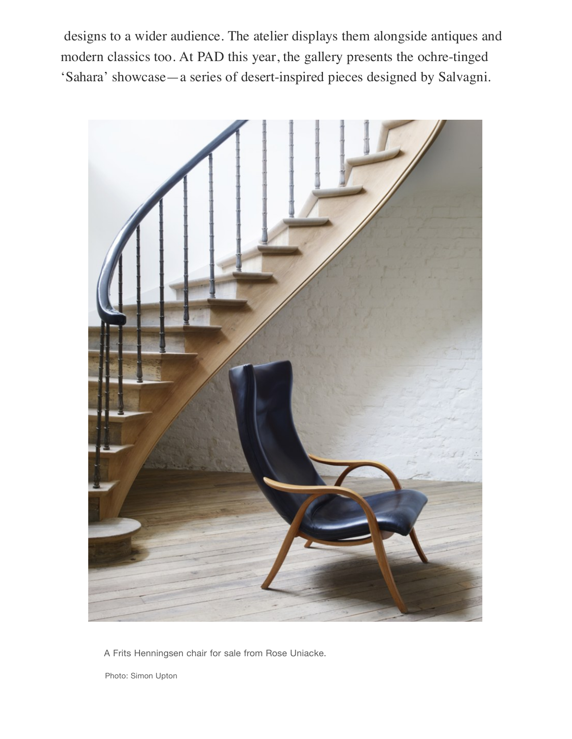designs to a wider audience. The atelier displays them alongside antiques and modern classics too. At PAD this year, the gallery presents the ochre-tinged 'Sahara' showcase—a series of desert-inspired pieces designed by Salvagni.



[A F](https://www.pinterest.com/pin/create/button/?url=https%3A%2F%2Fwww.architecturaldigest.com%2Fstory%2Fpad-london-rose-uniacke-achille-salvagni-pinto-paris-dimore-design-dealers&media=https%3A%2F%2Fmedia.architecturaldigest.com%2Fphotos%2F5bb53274cf791c2db61a489d%2F1%3A1%2Fw_680%2Cc_limit%2F1836%2520g.jpg&description=)rits Henni[ngsen](https://www.facebook.com/sharer/sharer.php?u=https%3A%2F%2Fwww.architecturaldigest.com%2Fstory%2Fpad-london-rose-uniacke-achille-salvagni-pinto-paris-dimore-design-dealers&t=) [chair for sale from R](https://twitter.com/share?text=What%20Interior%20Designers%E2%80%93Turned%E2%80%93Dealers%20Are%20Launching%20at%20PAD%20London&via=ArchDigest&url=https%3A%2F%2Fwww.architecturaldigest.com%2Fstory%2Fpad-london-rose-uniacke-achille-salvagni-pinto-paris-dimore-design-dealers)ose Uniacke.

[Photo: Simon Upton](https://www.facebook.com/sharer/sharer.php?u=https%3A%2F%2Fwww.architecturaldigest.com%2Fstory%2Fpad-london-rose-uniacke-achille-salvagni-pinto-paris-dimore-design-dealers&t=What%20Interior%20Designers%E2%80%93Turned%E2%80%93Dealers%20Are%20Launching%20at%20PAD%20London)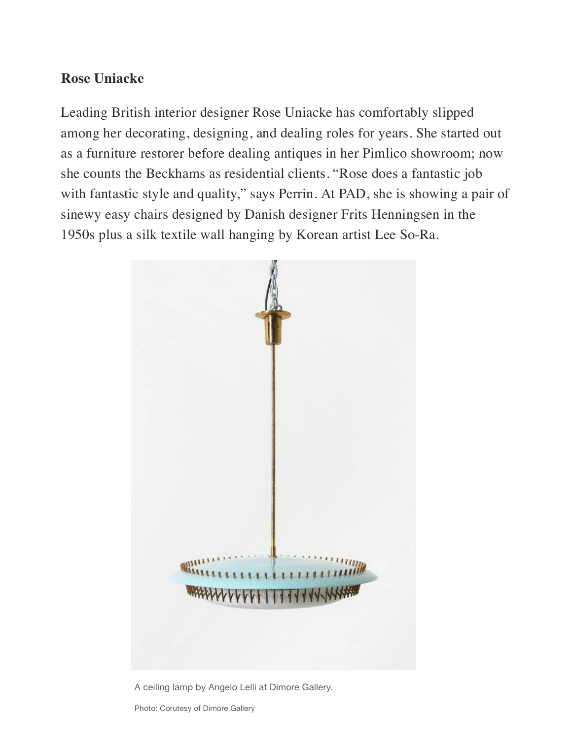### **Rose Uniacke**

Leading British interior designer Rose Uniacke has comfortably slipped among her decorating, designing, and dealing roles for years. She started out as a furniture restorer before dealing antiques in her Pimlico showroom; now she counts the Beckhams as residential clients. "Rose does a fantastic job with fantastic style and quality," says Perrin. At PAD, she is showing a pair of sinewy easy chairs designed by Danish designer Frits Henningsen in the 1950s plus a silk textile wall hanging by Korean artist Lee So-Ra.



[A ceiling lam](https://www.facebook.com/sharer/sharer.php?u=https%3A%2F%2Fwww.architecturaldigest.com%2Fstory%2Fpad-london-rose-uniacke-achille-salvagni-pinto-paris-dimore-design-dealers&t=What%20Interior%20Designers%E2%80%93Turned%E2%80%93Dealers%20Are%20Launching%20at%20PAD%20London)[p by Angelo Lelli at D](https://twitter.com/share?text=What%20Interior%20Designers%E2%80%93Turned%E2%80%93Dealers%20Are%20Launching%20at%20PAD%20London&via=ArchDigest&url=https%3A%2F%2Fwww.architecturaldigest.com%2Fstory%2Fpad-london-rose-uniacke-achille-salvagni-pinto-paris-dimore-design-dealers)imore Gallery.

Photo: Corutesy of Dimore Gallery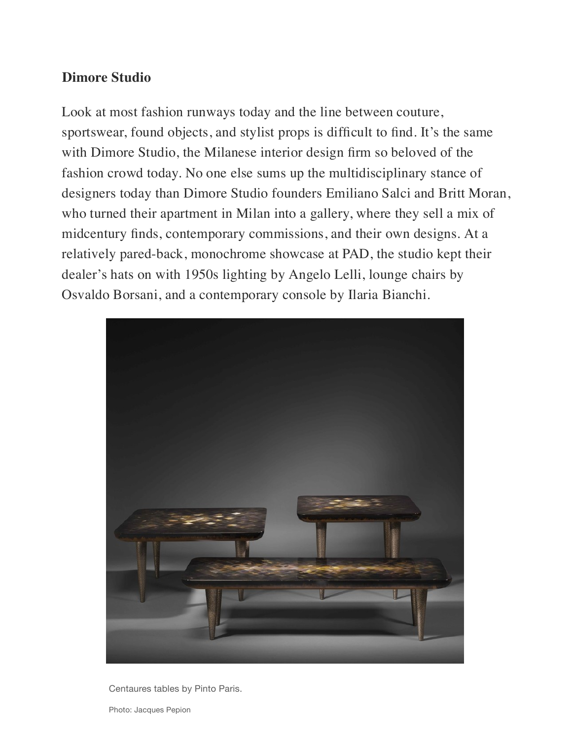#### **Dimore Studio**

Look [at m](https://www.pinterest.com/pin/create/button/?url=https%3A%2F%2Fwww.architecturaldigest.com%2Fstory%2Fpad-london-rose-uniacke-achille-salvagni-pinto-paris-dimore-design-dealers&media=https%3A%2F%2Fmedia.architecturaldigest.com%2Fphotos%2F5bb53260cf791c2db61a489b%2F1%3A1%2Fw_680%2Cc_limit%2FDIMOREGALLERY_PAD2018_Ceiling%2520lamp%2520by%2520Angelo%2520Lelii%252002.jpg&description=)ost fas[hion](https://www.facebook.com/sharer/sharer.php?u=https%3A%2F%2Fwww.architecturaldigest.com%2Fstory%2Fpad-london-rose-uniacke-achille-salvagni-pinto-paris-dimore-design-dealers&t=) runways today and the line between couture, sportswear, found objects, and stylist props is difficult to find. It's the same with Dimore Studio, the Milanese interior design firm so beloved of the fashion crowd today. No one else sums up the multidisciplinary stance of designers today than Dimore Studio founders Emiliano Salci and Britt Moran, who turned their apartment in Milan into a gallery, where they sell a mix of midcentury finds, contemporary commissions, and their own designs. At a relatively pared-back, monochrome showcase at PAD, the studio kept their dealer's hats on with 1950s lighting by Angelo Lelli, lounge chairs by Osvaldo Borsani, and a contemporary console by Ilaria Bianchi.



[Centaures tables b](https://www.facebook.com/sharer/sharer.php?u=https%3A%2F%2Fwww.architecturaldigest.com%2Fstory%2Fpad-london-rose-uniacke-achille-salvagni-pinto-paris-dimore-design-dealers&t=What%20Interior%20Designers%E2%80%93Turned%E2%80%93Dealers%20Are%20Launching%20at%20PAD%20London)[y Pinto Paris.](https://twitter.com/share?text=What%20Interior%20Designers%E2%80%93Turned%E2%80%93Dealers%20Are%20Launching%20at%20PAD%20London&via=ArchDigest&url=https%3A%2F%2Fwww.architecturaldigest.com%2Fstory%2Fpad-london-rose-uniacke-achille-salvagni-pinto-paris-dimore-design-dealers)

Photo: Jacques Pepion